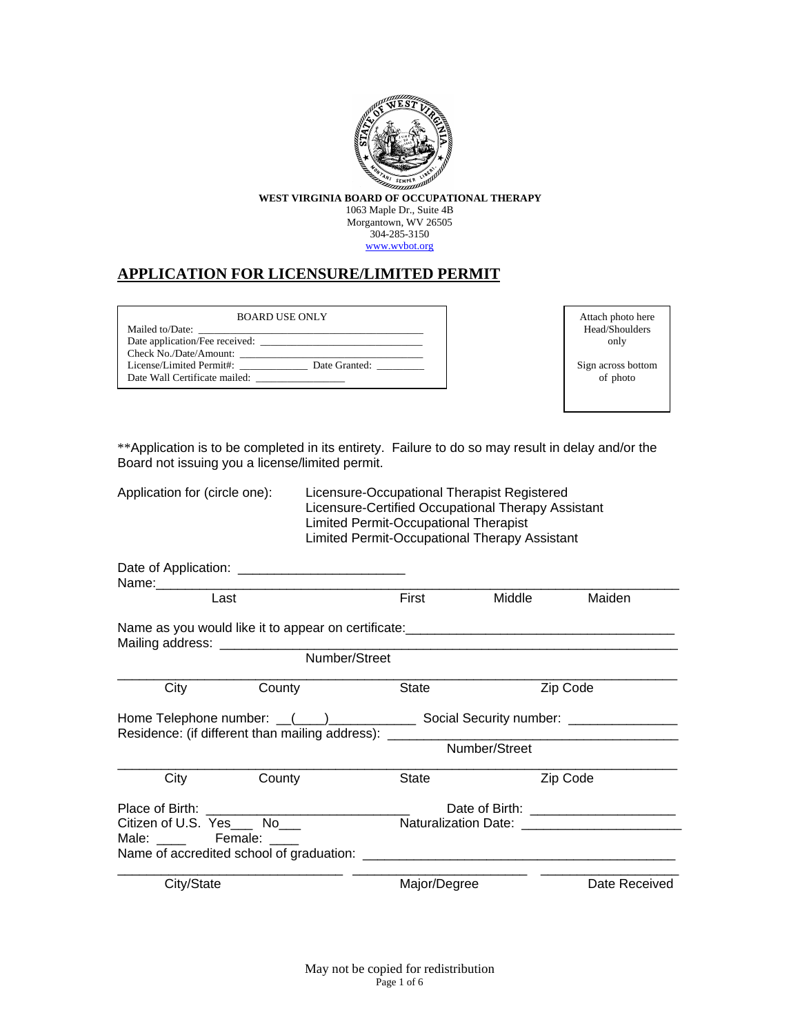

**WEST VIRGINIA BOARD OF OCCUPATIONAL THERAPY** 1063 Maple Dr., Suite 4B Morgantown, WV 26505 304-285-3150

### [www.wvbot.org](http://www.wvbot.org/)

## **APPLICATION FOR LICENSURE/LIMITED PERMIT**

| <b>BOARD USE ONLY</b>                     |
|-------------------------------------------|
| Mailed to/Date:                           |
| Date application/Fee received:            |
| Check No./Date/Amount:                    |
| License/Limited Permit#:<br>Date Granted: |
| Date Wall Certificate mailed:             |

Attach photo here Head/Shoulders only

Sign across bottom of photo

\*\*Application is to be completed in its entirety. Failure to do so may result in delay and/or the Board not issuing you a license/limited permit.

Application for (circle one): Licensure-Occupational Therapist Registered

Licensure-Certified Occupational Therapy Assistant Limited Permit-Occupational Therapist Limited Permit-Occupational Therapy Assistant

| Last                                            |                                                                                  | First        | Middle        | Maiden        |
|-------------------------------------------------|----------------------------------------------------------------------------------|--------------|---------------|---------------|
|                                                 | Name as you would like it to appear on certificate:_____________________________ |              |               |               |
|                                                 | Number/Street                                                                    |              |               |               |
| City                                            | County                                                                           | <b>State</b> |               | Zip Code      |
|                                                 | Residence: (if different than mailing address): _______                          |              |               |               |
|                                                 |                                                                                  |              | Number/Street |               |
| City                                            | County                                                                           | <b>State</b> |               | Zip Code      |
| Place of Birth:<br>Citizen of U.S. Yes___ No___ |                                                                                  |              |               |               |
| Male: ______ Female: ____                       |                                                                                  |              |               |               |
| City/State                                      |                                                                                  | Major/Degree |               | Date Received |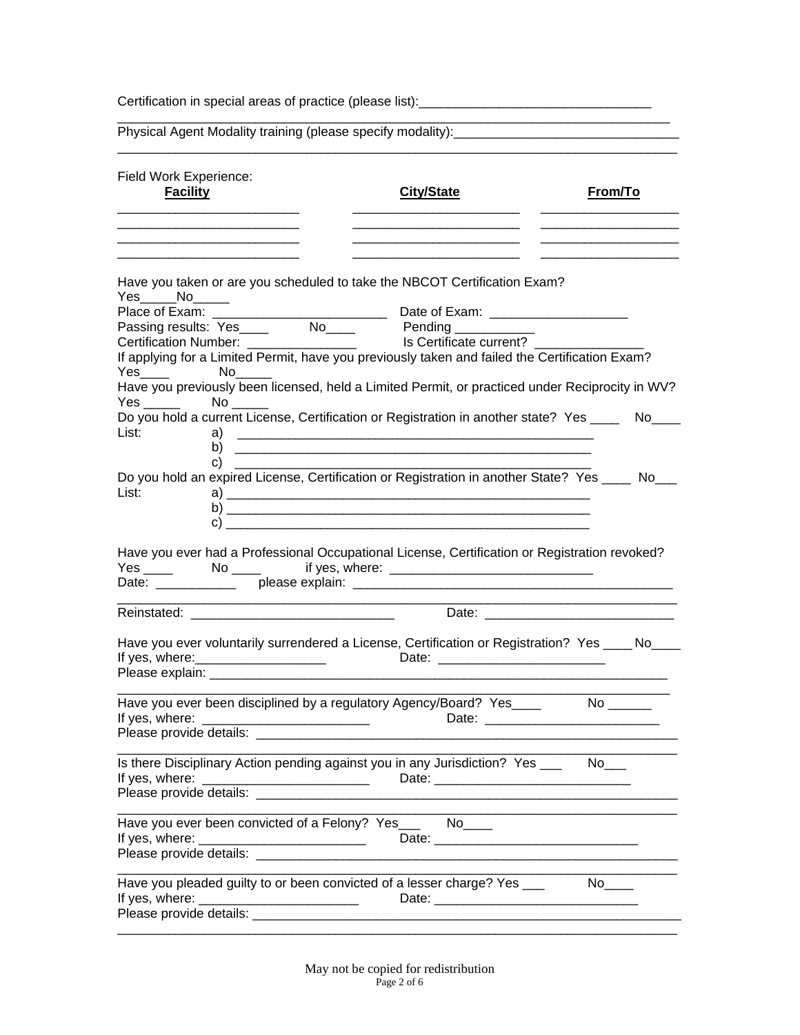|                                                                                                                                                                                                                                                                                                                                                                                                                                                                                                                                               | <u> 1980 - Johann Stoff, deutscher Stoff, der Stoff, der Stoff, der Stoff, der Stoff, der Stoff, der Stoff, der S</u> |  |
|-----------------------------------------------------------------------------------------------------------------------------------------------------------------------------------------------------------------------------------------------------------------------------------------------------------------------------------------------------------------------------------------------------------------------------------------------------------------------------------------------------------------------------------------------|-----------------------------------------------------------------------------------------------------------------------|--|
| Field Work Experience:<br><b>Facility</b><br><b>City/State</b>                                                                                                                                                                                                                                                                                                                                                                                                                                                                                | From/To                                                                                                               |  |
| Have you taken or are you scheduled to take the NBCOT Certification Exam?<br>$Yes$ No<br>Passing results: Yes No Pending<br>Certification Number: No Is Certificate current?<br>If applying for a Limited Permit, have you previously taken and failed the Certification Exam?<br>No the set of the set of the set of the set of the set of the set of the set of the set of the set of the set o<br>Have you previously been licensed, held a Limited Permit, or practiced under Reciprocity in WV?<br>$Yes \_\_\_\_\_\\$ No $\_\_\_\_\_\_\$ |                                                                                                                       |  |
| Do you hold a current License, Certification or Registration in another state? Yes ___<br>List:<br>Do you hold an expired License, Certification or Registration in another State? Yes ____ No__<br>List:<br>$\mathsf{c})$ and $\mathsf{c}$                                                                                                                                                                                                                                                                                                   | $No$ <sub>____</sub>                                                                                                  |  |
| Have you ever had a Professional Occupational License, Certification or Registration revoked?                                                                                                                                                                                                                                                                                                                                                                                                                                                 |                                                                                                                       |  |
|                                                                                                                                                                                                                                                                                                                                                                                                                                                                                                                                               |                                                                                                                       |  |
| Have you ever voluntarily surrendered a License, Certification or Registration? Yes ____ No___<br>Please explain:                                                                                                                                                                                                                                                                                                                                                                                                                             |                                                                                                                       |  |
| Have you ever been disciplined by a regulatory Agency/Board? Yes____<br>Date: the contract of the contract of the contract of the contract of the contract of the contract of the contract of the contract of the contract of the contract of the contract of the contract of the contract of the cont                                                                                                                                                                                                                                        |                                                                                                                       |  |
| Is there Disciplinary Action pending against you in any Jurisdiction? Yes ______ No___<br>If yes, where: _____________________________                                                                                                                                                                                                                                                                                                                                                                                                        |                                                                                                                       |  |
| Have you ever been convicted of a Felony? Yes___ No___                                                                                                                                                                                                                                                                                                                                                                                                                                                                                        |                                                                                                                       |  |
| Have you pleaded guilty to or been convicted of a lesser charge? Yes ___                                                                                                                                                                                                                                                                                                                                                                                                                                                                      |                                                                                                                       |  |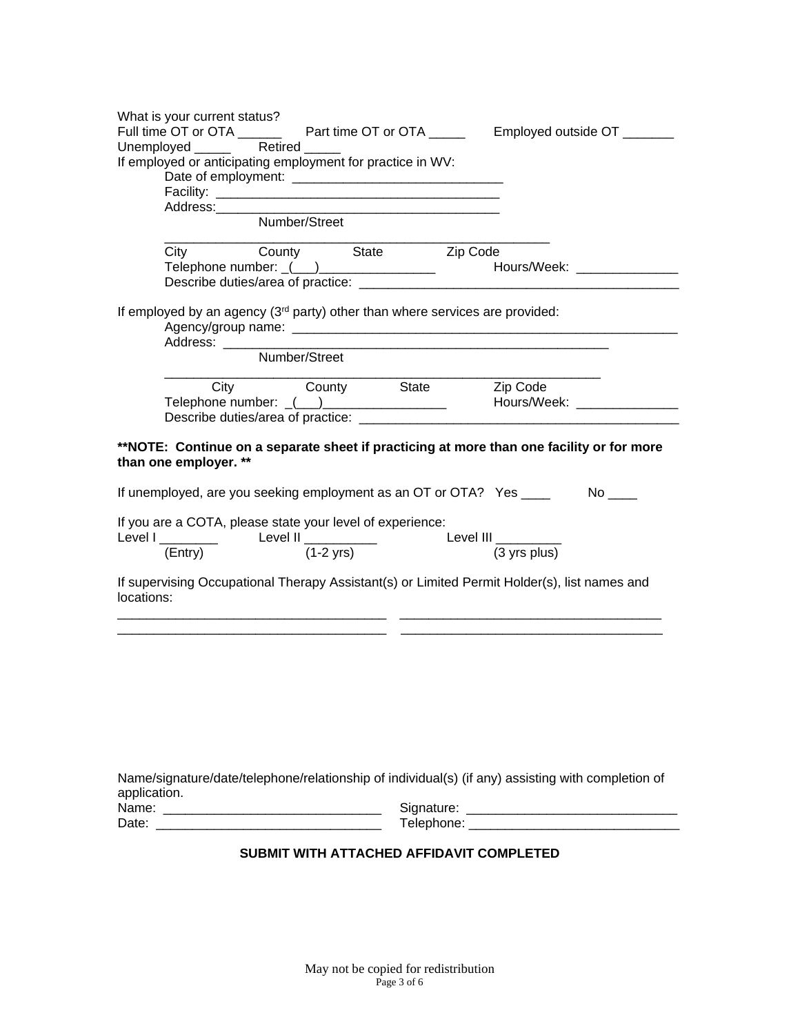| What is your current status?                                                                                                     |                            |            |                                                                                                   |
|----------------------------------------------------------------------------------------------------------------------------------|----------------------------|------------|---------------------------------------------------------------------------------------------------|
|                                                                                                                                  |                            |            | Full time OT or OTA ______________ Part time OT or OTA _____________ Employed outside OT _______  |
| Unemployed _____                                                                                                                 | Retired                    |            |                                                                                                   |
| If employed or anticipating employment for practice in WV:                                                                       |                            |            |                                                                                                   |
|                                                                                                                                  |                            |            |                                                                                                   |
|                                                                                                                                  |                            |            |                                                                                                   |
| Address:                                                                                                                         |                            |            |                                                                                                   |
|                                                                                                                                  | Number/Street              |            |                                                                                                   |
| City                                                                                                                             | County State Zip Code      |            |                                                                                                   |
|                                                                                                                                  |                            |            |                                                                                                   |
|                                                                                                                                  |                            |            |                                                                                                   |
| If employed by an agency (3 <sup>rd</sup> party) other than where services are provided:                                         |                            |            |                                                                                                   |
|                                                                                                                                  | Number/Street              |            |                                                                                                   |
|                                                                                                                                  | City County State Zip Code |            |                                                                                                   |
|                                                                                                                                  |                            |            | Telephone number: ((iii) 2020 [2010] Mours/Week: 2020 [2010] Mours/Week: 2020                     |
|                                                                                                                                  |                            |            |                                                                                                   |
| If unemployed, are you seeking employment as an OT or OTA? Yes ____<br>If you are a COTA, please state your level of experience: |                            |            |                                                                                                   |
| Level I $\frac{1}{(Entry)}$ Level II $\frac{1}{(1-2 yrs)}$                                                                       |                            |            | Level III $\frac{1}{(3 \text{ yrs plus})}$                                                        |
|                                                                                                                                  |                            |            |                                                                                                   |
| locations:                                                                                                                       |                            |            | If supervising Occupational Therapy Assistant(s) or Limited Permit Holder(s), list names and      |
|                                                                                                                                  |                            |            |                                                                                                   |
|                                                                                                                                  |                            |            |                                                                                                   |
|                                                                                                                                  |                            |            |                                                                                                   |
|                                                                                                                                  |                            |            | Name/signature/date/telephone/relationship of individual(s) (if any) assisting with completion of |
| application.<br>Name:                                                                                                            |                            | Signature: |                                                                                                   |
|                                                                                                                                  |                            |            |                                                                                                   |

# **SUBMIT WITH ATTACHED AFFIDAVIT COMPLETED**

Date: \_\_\_\_\_\_\_\_\_\_\_\_\_\_\_\_\_\_\_\_\_\_\_\_\_\_\_\_\_\_\_ Telephone: \_\_\_\_\_\_\_\_\_\_\_\_\_\_\_\_\_\_\_\_\_\_\_\_\_\_\_\_\_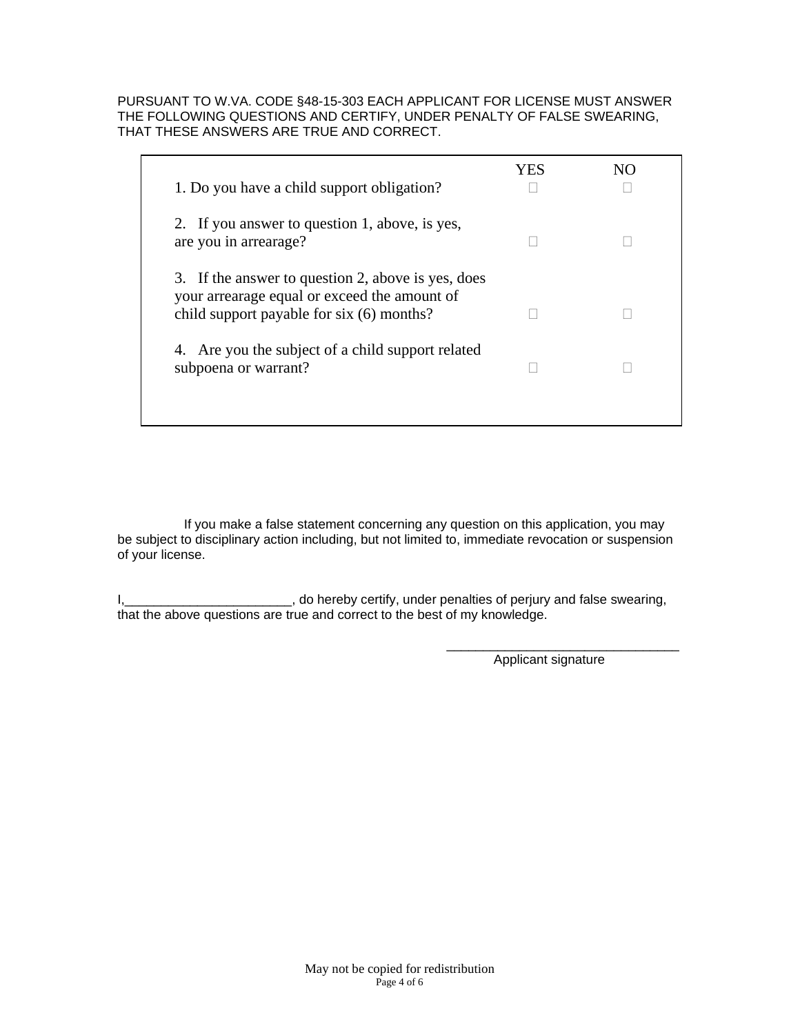## PURSUANT TO W.VA. CODE §48-15-303 EACH APPLICANT FOR LICENSE MUST ANSWER THE FOLLOWING QUESTIONS AND CERTIFY, UNDER PENALTY OF FALSE SWEARING, THAT THESE ANSWERS ARE TRUE AND CORRECT.

| 1. Do you have a child support obligation?                                                                                                       | YES | NO. |
|--------------------------------------------------------------------------------------------------------------------------------------------------|-----|-----|
| 2. If you answer to question 1, above, is yes,<br>are you in arrearage?                                                                          |     |     |
| 3. If the answer to question 2, above is yes, does<br>your arrearage equal or exceed the amount of<br>child support payable for $six(6)$ months? |     |     |
| 4. Are you the subject of a child support related<br>subpoena or warrant?                                                                        |     |     |

If you make a false statement concerning any question on this application, you may be subject to disciplinary action including, but not limited to, immediate revocation or suspension of your license.

I,\_\_\_\_\_\_\_\_\_\_\_\_\_\_\_\_\_\_\_\_\_\_\_\_\_, do hereby certify, under penalties of perjury and false swearing, that the above questions are true and correct to the best of my knowledge.

Applicant signature

\_\_\_\_\_\_\_\_\_\_\_\_\_\_\_\_\_\_\_\_\_\_\_\_\_\_\_\_\_\_\_\_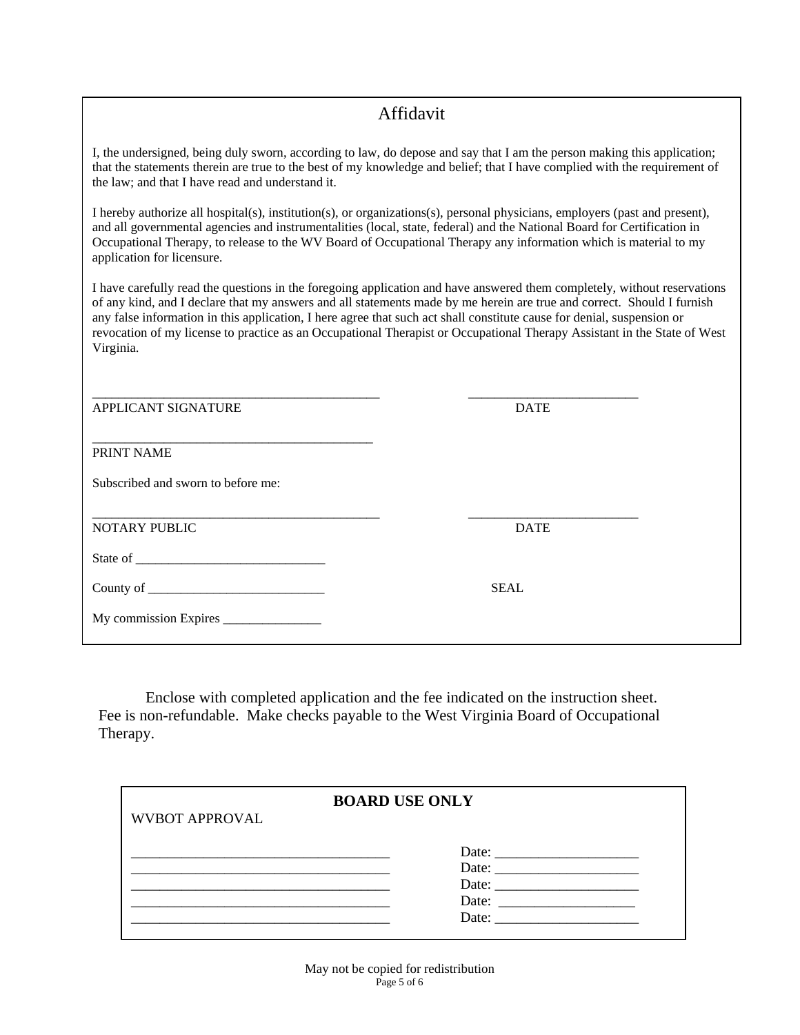#### Enclose with complete and the fee indicated application and the fee indicated on the instruction sheet. Affidavit

I, the undersigned, being duly sworn, according to law, do depose and say that I am the person making this application; that the statements therein are true to the best of my knowledge and belief; that I have complied with the requirement of the law and that I have read and understand it.  $\frac{f(x,y)}{g(x,y)}$  and that checks and understand it. the law; and that I have read and understand it.

I hereby authorize all hospital(s), institution(s), or organizations(s), personal physicians, employers (past and present), and all governmental agencies and instrumentalities (local, state, federal) and the National Board for Certification in Occupational Therapy, to release to the WV Board of Occupational Therapy any information which is material to my application for licensure.

I have carefully read the questions in the foregoing application and have answered them completely, without reservations of any kind, and I declare that my answers and all statements made by me herein are true and correct. Should I furnish any false information in this application, I here agree that such act shall constitute cause for denial, suspension or revocation of my license to practice as an Occupational Therapist or Occupational Therapy Assistant in the State of West Virginia.

| APPLICANT SIGNATURE                | <b>DATE</b> |
|------------------------------------|-------------|
| PRINT NAME                         |             |
| Subscribed and sworn to before me: |             |
| <b>NOTARY PUBLIC</b>               | <b>DATE</b> |
|                                    |             |
|                                    | <b>SEAL</b> |
|                                    |             |

Enclose with completed application and the fee indicated on the instruction sheet. Fee is non-refundable. Make checks payable to the West Virginia Board of Occupational Therapy.

|                       | <b>BOARD USE ONLY</b> |
|-----------------------|-----------------------|
| <b>WVBOT APPROVAL</b> |                       |
|                       |                       |
|                       | Date:                 |
|                       | Date:                 |
|                       | Date:                 |
|                       | Date:                 |
|                       |                       |